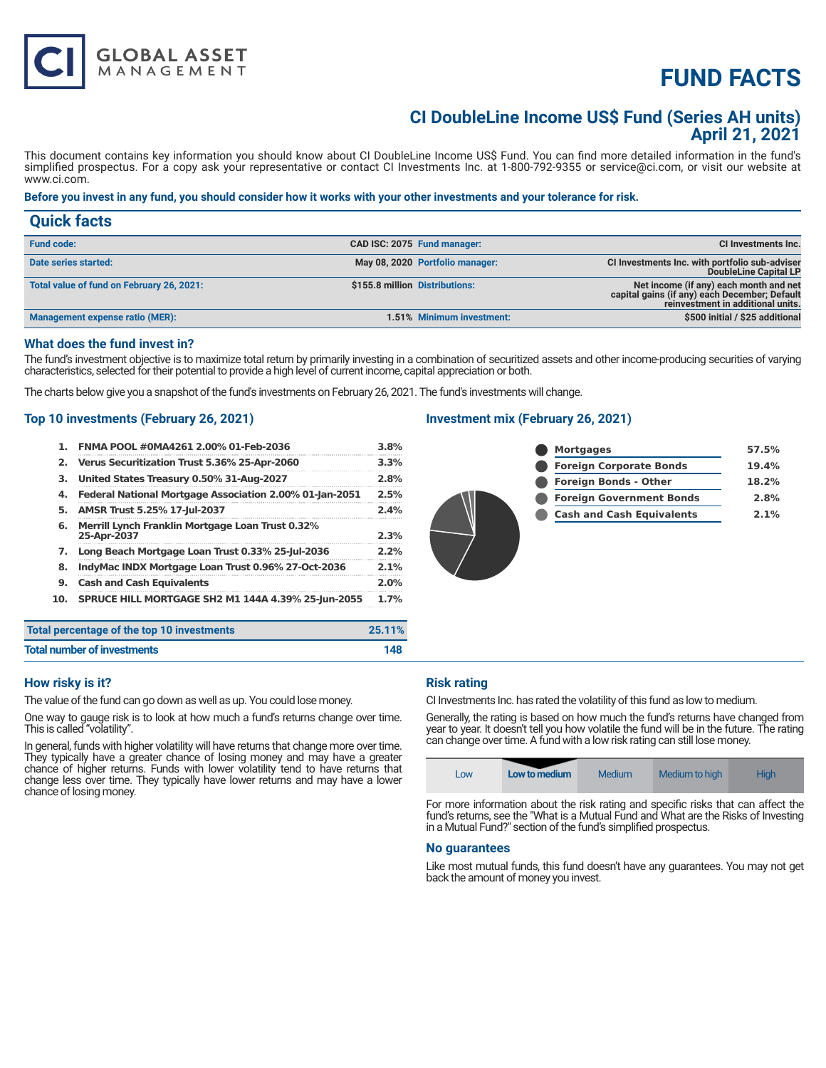# **FUND FACTS**

### **CI DoubleLine Income US\$ Fund (Series AH units) April 21, 2021**

This document contains key information you should know about CI DoubleLine Income US\$ Fund. You can find more detailed information in the fund's simplified prospectus. For a copy ask your representative or contact CI Investments Inc. at 1-800-792-9355 or service@ci.com, or visit our website at www.ci.com.

#### **Before you invest in any fund, you should consider how it works with your other investments and your tolerance for risk.**

| <b>Quick facts</b>                        |                                |                                 |                                                                                                                              |
|-------------------------------------------|--------------------------------|---------------------------------|------------------------------------------------------------------------------------------------------------------------------|
| <b>Fund code:</b>                         |                                | CAD ISC: 2075 Fund manager:     | CI Investments Inc.                                                                                                          |
| Date series started:                      |                                | May 08, 2020 Portfolio manager: | CI Investments Inc. with portfolio sub-adviser<br>DoubleLine Capital LP                                                      |
| Total value of fund on February 26, 2021: | \$155.8 million Distributions: |                                 | Net income (if any) each month and net<br>capital gains (if any) each December; Default<br>reinvestment in additional units. |
| Management expense ratio (MER):           |                                | 1.51% Minimum investment:       | \$500 initial / \$25 additional                                                                                              |

#### **What does the fund invest in?**

The fund's investment objective is to maximize total return by primarily investing in a combination of securitized assets and other income-producing securities of varying characteristics, selected for their potential to provide a high level of current income, capital appreciation or both.

The charts below give you a snapshot of the fund's investments on February 26, 2021. The fund's investments will change.

#### **Top 10 investments (February 26, 2021)**

**GLOBAL ASSET**<br>MANAGEMENT

|     | percentage of the top 10 investments                            | 25.11% |
|-----|-----------------------------------------------------------------|--------|
| 10. | <b>SPRUCE HILL MORTGAGE SH2 M1 144A 4.39% 25-Jun-2055</b>       | 1.7%   |
| 9.  | <b>Cash and Cash Equivalents</b>                                | 2.0%   |
| 8.  | IndyMac INDX Mortgage Loan Trust 0.96% 27-Oct-2036              | 2.1%   |
| 7.  | Long Beach Mortgage Loan Trust 0.33% 25-Jul-2036                | 2.2%   |
| 6.  | Merrill Lynch Franklin Mortgage Loan Trust 0.32%<br>25-Apr-2037 | 2.3%   |
| 5.  | AMSR Trust 5.25% 17-Jul-2037                                    | 2.4%   |
| 4.  | Federal National Mortgage Association 2.00% 01-Jan-2051         | 2.5%   |
| з.  | United States Treasury 0.50% 31-Aug-2027                        | 2.8%   |
| 2.  | Verus Securitization Trust 5.36% 25-Apr-2060                    | 3.3%   |
| 1.  | FNMA POOL #0MA4261 2.00% 01-Feb-2036                            | 3.8%   |

### **Investment mix (February 26, 2021)**



| Total percentage of the top 10 investments | 25.11% |
|--------------------------------------------|--------|
| <b>Total number of investments</b>         | 148    |

#### **How risky is it?**

The value of the fund can go down as well as up. You could lose money.

One way to gauge risk is to look at how much a fund's returns change over time. This is called "volatility".

In general, funds with higher volatility will have returns that change more over time. They typically have a greater chance of losing money and may have a greater chance of higher returns. Funds with lower volatility tend to have returns that change less over time. They typically have lower returns and may have a lower chance of losing money.

#### **Risk rating**

CI Investments Inc. has rated the volatility of this fund as low to medium.

Generally, the rating is based on how much the fund's returns have changed from year to year. It doesn't tell you how volatile the fund will be in the future. The rating can change over time. A fund with a low risk rating can still lose money.

| Low | Low to medium | <b>Medium</b> | Medium to high | <b>High</b> |
|-----|---------------|---------------|----------------|-------------|
|-----|---------------|---------------|----------------|-------------|

For more information about the risk rating and specific risks that can affect the fund's returns, see the "What is a Mutual Fund and What are the Risks of Investing in a Mutual Fund?" section of the fund's simplified prospectus.

#### **No guarantees**

Like most mutual funds, this fund doesn't have any guarantees. You may not get back the amount of money you invest.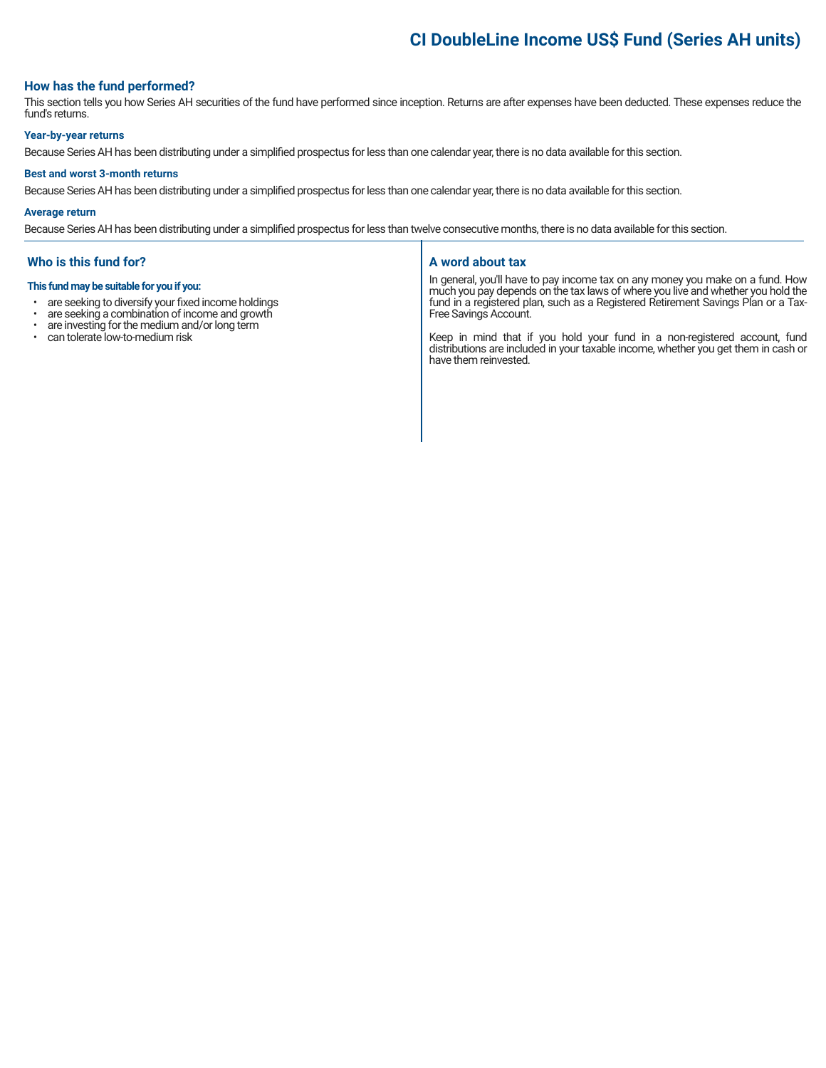# **CI DoubleLine Income US\$ Fund (Series AH units)**

#### **How has the fund performed?**

This section tells you how Series AH securities of the fund have performed since inception. Returns are after expenses have been deducted. These expenses reduce the fund's returns.

#### **Year-by-year returns**

Because Series AH has been distributing under a simplified prospectus for less than one calendar year, there is no data available for this section.

#### **Best and worst 3-month returns**

Because Series AH has been distributing under a simplified prospectus for less than one calendar year, there is no data available for this section.

#### **Average return**

Because Series AH has been distributing under a simplified prospectus for less than twelve consecutive months, there is no data available for this section.

#### **Who is this fund for?**

#### **This fund may be suitable for you if you:**

- are seeking to diversify your fixed income holdings<br>• are seeking a combination of income and growth
- are seeking a combination of income and growth  $\cdot$  are investing for the medium and/or long term
- are investing for the medium and/or long term<br>• can tolerate low-to-medium risk
- can tolerate low-to-medium risk

#### **A word about tax**

In general, you'll have to pay income tax on any money you make on a fund. How much you pay depends on the tax laws of where you live and whether you hold the fund in a registered plan, such as a Registered Retirement Savings Plan or a Tax-Free Savings Account.

Keep in mind that if you hold your fund in a non-registered account, fund distributions are included in your taxable income, whether you get them in cash or have them reinvested.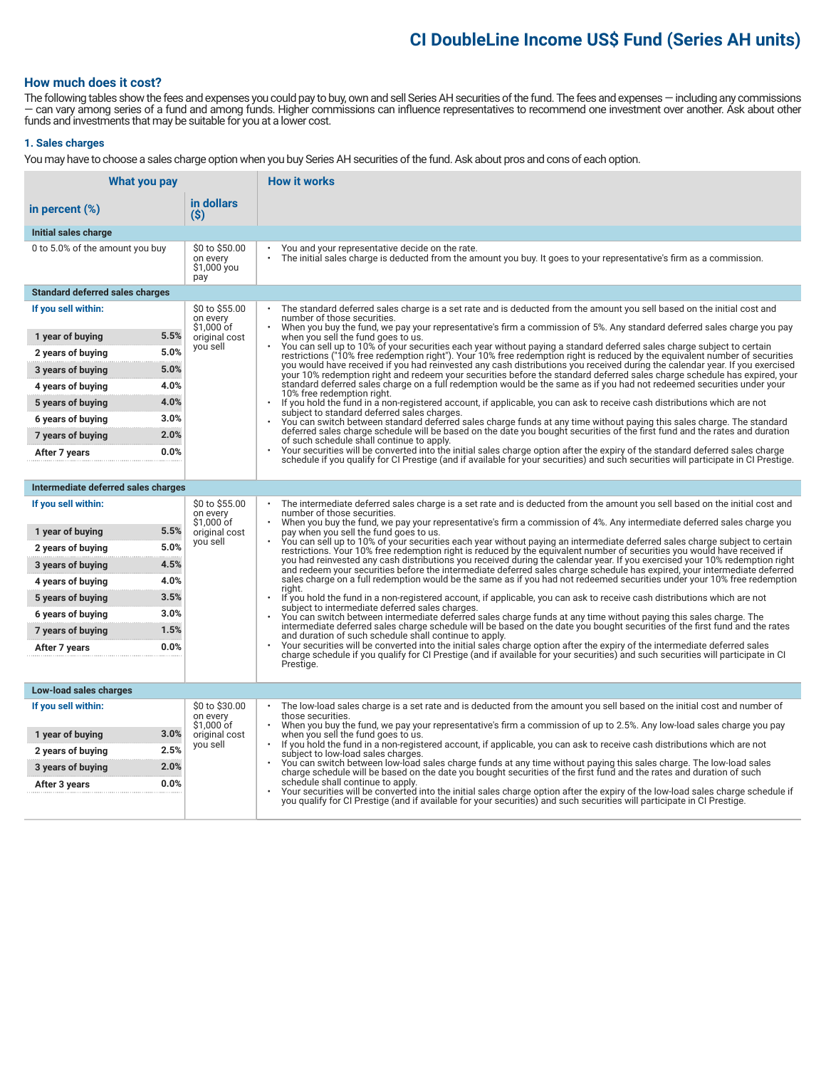### **CI DoubleLine Income US\$ Fund (Series AH units)**

#### **How much does it cost?**

The following tables show the fees and expenses you could pay to buy, own and sell Series AH securities of the fund. The fees and expenses — including any commissions — can vary among series of a fund and among funds. Higher commissions can influence representatives to recommend one investment over another. Ask about other funds and investments that may be suitable for you at a lower cost.

#### **1. Sales charges**

You may have to choose a sales charge option when you buy Series AH securities of the fund. Ask about pros and cons of each option.

| What you pay                           |                                                  | <b>How it works</b>                                                                                                                                                                                                                                                                            |
|----------------------------------------|--------------------------------------------------|------------------------------------------------------------------------------------------------------------------------------------------------------------------------------------------------------------------------------------------------------------------------------------------------|
| in percent $(\%)$                      | in dollars<br>$($ \$)                            |                                                                                                                                                                                                                                                                                                |
| Initial sales charge                   |                                                  |                                                                                                                                                                                                                                                                                                |
| 0 to 5.0% of the amount you buy        | \$0 to \$50.00<br>on every<br>\$1,000 you<br>pay | You and your representative decide on the rate.<br>The initial sales charge is deducted from the amount you buy. It goes to your representative's firm as a commission.                                                                                                                        |
| <b>Standard deferred sales charges</b> |                                                  |                                                                                                                                                                                                                                                                                                |
| If you sell within:                    | \$0 to \$55.00<br>on every<br>$$1,000$ of        | The standard deferred sales charge is a set rate and is deducted from the amount you sell based on the initial cost and<br>number of those securities.<br>When you buy the fund, we pay your representative's firm a commission of 5%. Any standard deferred sales charge you pay<br>$\bullet$ |
| 5.5%<br>1 year of buying               | original cost<br>you sell                        | when you sell the fund goes to us.<br>You can sell up to 10% of your securities each year without paying a standard deferred sales charge subject to certain                                                                                                                                   |
| 5.0%<br>2 years of buying              |                                                  | restrictions ("10% free redemption right"). Your 10% free redemption right is reduced by the equivalent number of securities<br>you would have received if you had reinvested any cash distributions you received during the calendar year. If you exercised                                   |
| 5.0%<br>3 years of buying              |                                                  | your 10% redemption right and redeem your securities before the standard deferred sales charge schedule has expired, your                                                                                                                                                                      |
| 4.0%<br>4 years of buying              |                                                  | standard deferred sales charge on a full redemption would be the same as if you had not redeemed securities under your<br>10% free redemption right.                                                                                                                                           |
| 4.0%<br>5 years of buying              |                                                  | If you hold the fund in a non-registered account, if applicable, you can ask to receive cash distributions which are not<br>$\bullet$<br>subject to standard deferred sales charges.                                                                                                           |
| 3.0%<br>6 years of buying              |                                                  | You can switch between standard deferred sales charge funds at any time without paying this sales charge. The standard<br>deferred sales charge schedule will be based on the date you bought securities of the first fund and the rates and duration                                          |
| 2.0%<br>7 years of buying              |                                                  | of such schedule shall continue to apply.                                                                                                                                                                                                                                                      |
| 0.0%<br>After 7 years                  |                                                  | Your securities will be converted into the initial sales charge option after the expiry of the standard deferred sales charge<br>schedule if you qualify for CI Prestige (and if available for your securities) and such securities will participate in CI Prestige.                           |
|                                        |                                                  |                                                                                                                                                                                                                                                                                                |
| Intermediate deferred sales charges    |                                                  |                                                                                                                                                                                                                                                                                                |
| If you sell within:                    | \$0 to \$55.00<br>on every<br>$$1,000$ of        | The intermediate deferred sales charge is a set rate and is deducted from the amount you sell based on the initial cost and<br>number of those securities.<br>When you buy the fund, we pay your representative's firm a commission of 4%. Any intermediate deferred sales charge you          |
| 5.5%<br>1 year of buying               | original cost<br>you sell                        | pay when you sell the fund goes to us.<br>You can sell up to 10% of your securities each year without paying an intermediate deferred sales charge subject to certain                                                                                                                          |
| 5.0%<br>2 years of buying              |                                                  | restrictions. Your 10% free redemption right is reduced by the equivalent number of securities you would have received if<br>you had reinvested any cash distributions you received during the calendar year. If you exercised your 10% redemption right                                       |
| 4.5%<br>3 years of buying              |                                                  | and redeem your securities before the intermediate deferred sales charge schedule has expired, your intermediate deferred                                                                                                                                                                      |
| 4.0%<br>4 years of buying              |                                                  | sales charge on a full redemption would be the same as if you had not redeemed securities under your 10% free redemption<br>riaht.                                                                                                                                                             |
| 3.5%<br>5 years of buying              |                                                  | If you hold the fund in a non-registered account, if applicable, you can ask to receive cash distributions which are not<br>subject to intermediate deferred sales charges.                                                                                                                    |
| 3.0%<br>6 years of buying              |                                                  | You can switch between intermediate deferred sales charge funds at any time without paying this sales charge. The<br>intermediate deferred sales charge schedule will be based on the date you bought securities of the first fund and the rates                                               |
| 1.5%<br>7 years of buying              |                                                  | and duration of such schedule shall continue to apply.                                                                                                                                                                                                                                         |
| 0.0%<br>After 7 years                  |                                                  | Your securities will be converted into the initial sales charge option after the expiry of the intermediate deferred sales<br>charge schedule if you qualify for CI Prestige (and if available for your securities) and such securities will participate in CI                                 |
|                                        |                                                  | Prestige.                                                                                                                                                                                                                                                                                      |
| Low-load sales charges                 |                                                  |                                                                                                                                                                                                                                                                                                |
| If you sell within:                    | \$0 to \$30.00<br>on every<br>$$1,000$ of        | The low-load sales charge is a set rate and is deducted from the amount you sell based on the initial cost and number of<br>those securities.<br>$\cdot$                                                                                                                                       |
| 3.0%<br>1 year of buying               | original cost                                    | When you buy the fund, we pay your representative's firm a commission of up to 2.5%. Any low-load sales charge you pay<br>when you sell the fund goes to us.                                                                                                                                   |
| 2.5%<br>2 years of buying              | you sell                                         | If you hold the fund in a non-registered account, if applicable, you can ask to receive cash distributions which are not<br>subject to low-load sales charges.                                                                                                                                 |
| 2.0%<br>3 years of buying              |                                                  | You can switch between low-load sales charge funds at any time without paying this sales charge. The low-load sales<br>charge schedule will be based on the date you bought securities of the first fund and the rates and duration of such                                                    |
| 0.0%<br>After 3 years                  |                                                  | schedule shall continue to apply.<br>Your securities will be converted into the initial sales charge option after the expiry of the low-load sales charge schedule if                                                                                                                          |
|                                        |                                                  | you qualify for CI Prestige (and if available for your securities) and such securities will participate in CI Prestige.                                                                                                                                                                        |